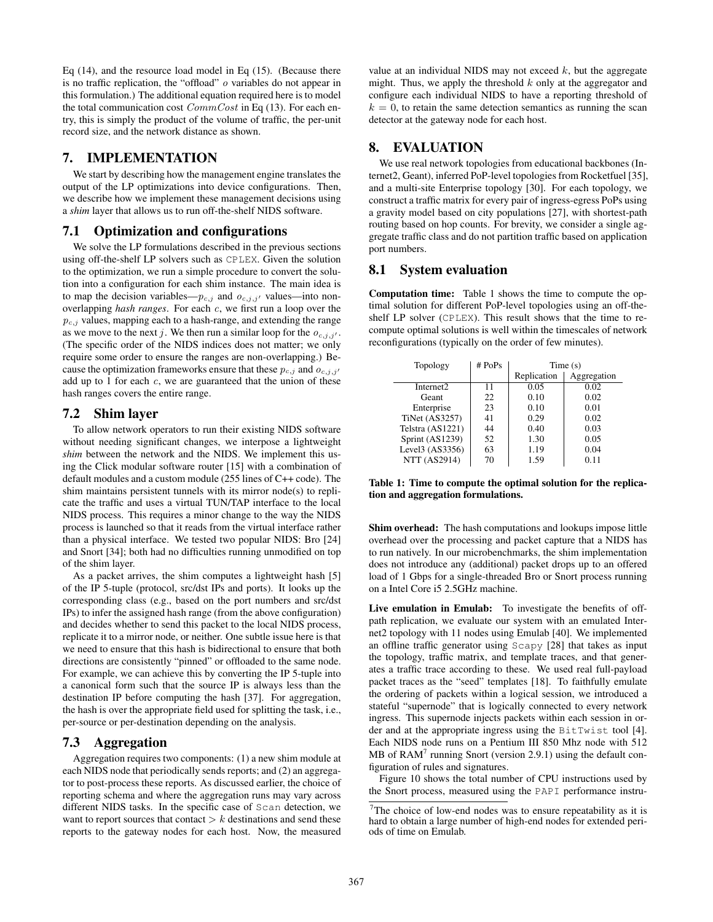Eq (14), and the resource load model in Eq (15). (Because there is no traffic replication, the "offload" o variables do not appear in this formulation.) The additional equation required here is to model the total communication cost  $CommCost$  in Eq (13). For each entry, this is simply the product of the volume of traffic, the per-unit record size, and the network distance as shown.

### **7. IMPLEMENTATION**

We start by describing how the management engine translates the output of the LP optimizations into device configurations. Then, we describe how we implement these management decisions using a *shim* layer that allows us to run off-the-shelf NIDS software.

#### **7.1 Optimization and configurations**

We solve the LP formulations described in the previous sections using off-the-shelf LP solvers such as CPLEX. Given the solution to the optimization, we run a simple procedure to convert the solution into a configuration for each shim instance. The main idea is to map the decision variables— $p_{c,j}$  and  $o_{c,j,j'}$  values—into nonoverlapping *hash ranges*. For each c, we first run a loop over the  $p_{c,j}$  values, mapping each to a hash-range, and extending the range as we move to the next j. We then run a similar loop for the  $o_{c,j,j'}$ . (The specific order of the NIDS indices does not matter; we only require some order to ensure the ranges are non-overlapping.) Because the optimization frameworks ensure that these  $p_{c,j}$  and  $o_{c,j,j'}$ add up to 1 for each  $c$ , we are guaranteed that the union of these hash ranges covers the entire range.

#### **7.2 Shim layer**

To allow network operators to run their existing NIDS software without needing significant changes, we interpose a lightweight *shim* between the network and the NIDS. We implement this using the Click modular software router [15] with a combination of default modules and a custom module (255 lines of C++ code). The shim maintains persistent tunnels with its mirror node(s) to replicate the traffic and uses a virtual TUN/TAP interface to the local NIDS process. This requires a minor change to the way the NIDS process is launched so that it reads from the virtual interface rather than a physical interface. We tested two popular NIDS: Bro [24] and Snort [34]; both had no difficulties running unmodified on top of the shim layer.

As a packet arrives, the shim computes a lightweight hash [5] of the IP 5-tuple (protocol, src/dst IPs and ports). It looks up the corresponding class (e.g., based on the port numbers and src/dst IPs) to infer the assigned hash range (from the above configuration) and decides whether to send this packet to the local NIDS process, replicate it to a mirror node, or neither. One subtle issue here is that we need to ensure that this hash is bidirectional to ensure that both directions are consistently "pinned" or offloaded to the same node. For example, we can achieve this by converting the IP 5-tuple into a canonical form such that the source IP is always less than the destination IP before computing the hash [37]. For aggregation, the hash is over the appropriate field used for splitting the task, i.e., per-source or per-destination depending on the analysis.

# **7.3 Aggregation**

Aggregation requires two components: (1) a new shim module at each NIDS node that periodically sends reports; and (2) an aggregator to post-process these reports. As discussed earlier, the choice of reporting schema and where the aggregation runs may vary across different NIDS tasks. In the specific case of Scan detection, we want to report sources that contact  $\geq k$  destinations and send these reports to the gateway nodes for each host. Now, the measured value at an individual NIDS may not exceed  $k$ , but the aggregate might. Thus, we apply the threshold  $k$  only at the aggregator and configure each individual NIDS to have a reporting threshold of  $k = 0$ , to retain the same detection semantics as running the scan detector at the gateway node for each host.

# **8. EVALUATION**

We use real network topologies from educational backbones (Internet2, Geant), inferred PoP-level topologies from Rocketfuel [35], and a multi-site Enterprise topology [30]. For each topology, we construct a traffic matrix for every pair of ingress-egress PoPs using a gravity model based on city populations [27], with shortest-path routing based on hop counts. For brevity, we consider a single aggregate traffic class and do not partition traffic based on application port numbers.

#### **8.1 System evaluation**

**Computation time:** Table 1 shows the time to compute the optimal solution for different PoP-level topologies using an off-theshelf LP solver (CPLEX). This result shows that the time to recompute optimal solutions is well within the timescales of network reconfigurations (typically on the order of few minutes).

| Topology              | # PoPs | Time(s)     |             |
|-----------------------|--------|-------------|-------------|
|                       |        | Replication | Aggregation |
| Internet <sub>2</sub> | 11     | 0.05        | 0.02        |
| Geant                 | 22     | 0.10        | 0.02        |
| Enterprise            | 23     | 0.10        | 0.01        |
| <b>TiNet (AS3257)</b> | 41     | 0.29        | 0.02        |
| Telstra (AS1221)      | 44     | 0.40        | 0.03        |
| Sprint (AS1239)       | 52     | 1.30        | 0.05        |
| Level3 (AS3356)       | 63     | 1.19        | 0.04        |
| <b>NTT</b> (AS2914)   | 70     | 1.59        | 0.11        |

**Table 1: Time to compute the optimal solution for the replication and aggregation formulations.**

**Shim overhead:** The hash computations and lookups impose little overhead over the processing and packet capture that a NIDS has to run natively. In our microbenchmarks, the shim implementation does not introduce any (additional) packet drops up to an offered load of 1 Gbps for a single-threaded Bro or Snort process running on a Intel Core i5 2.5GHz machine.

**Live emulation in Emulab:** To investigate the benefits of offpath replication, we evaluate our system with an emulated Internet2 topology with 11 nodes using Emulab [40]. We implemented an offline traffic generator using Scapy [28] that takes as input the topology, traffic matrix, and template traces, and that generates a traffic trace according to these. We used real full-payload packet traces as the "seed" templates [18]. To faithfully emulate the ordering of packets within a logical session, we introduced a stateful "supernode" that is logically connected to every network ingress. This supernode injects packets within each session in order and at the appropriate ingress using the BitTwist tool [4]. Each NIDS node runs on a Pentium III 850 Mhz node with 512 MB of  $RAM<sup>7</sup>$  running Snort (version 2.9.1) using the default configuration of rules and signatures.

Figure 10 shows the total number of CPU instructions used by the Snort process, measured using the PAPI performance instru-

 $7$ The choice of low-end nodes was to ensure repeatability as it is hard to obtain a large number of high-end nodes for extended periods of time on Emulab.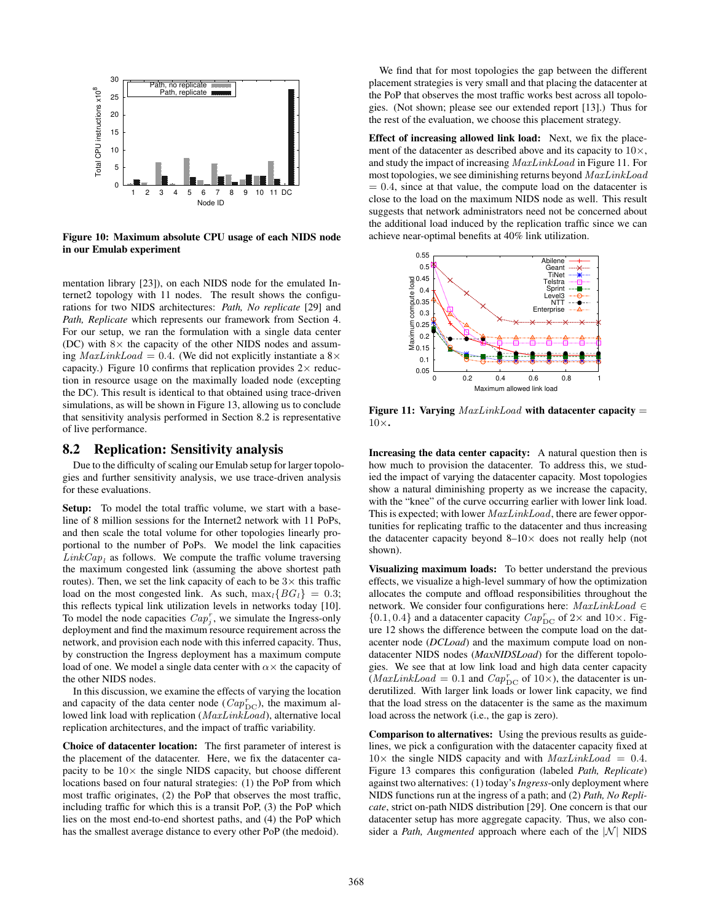

**Figure 10: Maximum absolute CPU usage of each NIDS node in our Emulab experiment**

mentation library [23]), on each NIDS node for the emulated Internet2 topology with 11 nodes. The result shows the configurations for two NIDS architectures: *Path, No replicate* [29] and *Path, Replicate* which represents our framework from Section 4. For our setup, we ran the formulation with a single data center (DC) with  $8\times$  the capacity of the other NIDS nodes and assuming  $\text{MaxLinkLoad} = 0.4$ . (We did not explicitly instantiate a 8× capacity.) Figure 10 confirms that replication provides  $2 \times$  reduction in resource usage on the maximally loaded node (excepting the DC). This result is identical to that obtained using trace-driven simulations, as will be shown in Figure 13, allowing us to conclude that sensitivity analysis performed in Section 8.2 is representative of live performance.

### **8.2 Replication: Sensitivity analysis**

Due to the difficulty of scaling our Emulab setup for larger topologies and further sensitivity analysis, we use trace-driven analysis for these evaluations.

**Setup:** To model the total traffic volume, we start with a baseline of 8 million sessions for the Internet2 network with 11 PoPs, and then scale the total volume for other topologies linearly proportional to the number of PoPs. We model the link capacities  $LinkCap<sub>l</sub>$  as follows. We compute the traffic volume traversing the maximum congested link (assuming the above shortest path routes). Then, we set the link capacity of each to be  $3\times$  this traffic load on the most congested link. As such,  $\max_{l} {B G_l} = 0.3;$ this reflects typical link utilization levels in networks today [10]. To model the node capacities  $Cap_j^r$ , we simulate the Ingress-only deployment and find the maximum resource requirement across the network, and provision each node with this inferred capacity. Thus, by construction the Ingress deployment has a maximum compute load of one. We model a single data center with  $\alpha \times$  the capacity of the other NIDS nodes.

In this discussion, we examine the effects of varying the location and capacity of the data center node  $(Cap_{\text{DC}}^r)$ , the maximum allowed link load with replication (MaxLinkLoad), alternative local replication architectures, and the impact of traffic variability.

**Choice of datacenter location:** The first parameter of interest is the placement of the datacenter. Here, we fix the datacenter capacity to be  $10\times$  the single NIDS capacity, but choose different locations based on four natural strategies: (1) the PoP from which most traffic originates, (2) the PoP that observes the most traffic, including traffic for which this is a transit PoP, (3) the PoP which lies on the most end-to-end shortest paths, and (4) the PoP which has the smallest average distance to every other PoP (the medoid).

We find that for most topologies the gap between the different placement strategies is very small and that placing the datacenter at the PoP that observes the most traffic works best across all topologies. (Not shown; please see our extended report [13].) Thus for the rest of the evaluation, we choose this placement strategy.

**Effect of increasing allowed link load:** Next, we fix the placement of the datacenter as described above and its capacity to  $10\times$ , and study the impact of increasing MaxLinkLoad in Figure 11. For most topologies, we see diminishing returns beyond MaxLinkLoad  $= 0.4$ , since at that value, the compute load on the datacenter is close to the load on the maximum NIDS node as well. This result suggests that network administrators need not be concerned about the additional load induced by the replication traffic since we can achieve near-optimal benefits at 40% link utilization.



**Figure 11: Varying** MaxLinkLoad **with datacenter capacity** = 10×**.**

**Increasing the data center capacity:** A natural question then is how much to provision the datacenter. To address this, we studied the impact of varying the datacenter capacity. Most topologies show a natural diminishing property as we increase the capacity, with the "knee" of the curve occurring earlier with lower link load. This is expected; with lower MaxLinkLoad, there are fewer opportunities for replicating traffic to the datacenter and thus increasing the datacenter capacity beyond  $8-10\times$  does not really help (not shown).

**Visualizing maximum loads:** To better understand the previous effects, we visualize a high-level summary of how the optimization allocates the compute and offload responsibilities throughout the network. We consider four configurations here:  $MaxLinkLoad \in$  $\{0.1, 0.4\}$  and a datacenter capacity  $Cap^r_{\mathrm{DC}}$  of  $2\times$  and  $10\times$  . Figure 12 shows the difference between the compute load on the datacenter node (*DCLoad*) and the maximum compute load on nondatacenter NIDS nodes (*MaxNIDSLoad*) for the different topologies. We see that at low link load and high data center capacity  $(MaxLinkLoad = 0.1$  and  $Cap_{DC}^r$  of  $10\times$ ), the datacenter is underutilized. With larger link loads or lower link capacity, we find that the load stress on the datacenter is the same as the maximum load across the network (i.e., the gap is zero).

**Comparison to alternatives:** Using the previous results as guidelines, we pick a configuration with the datacenter capacity fixed at  $10\times$  the single NIDS capacity and with  $MaxLinkLoad = 0.4$ . Figure 13 compares this configuration (labeled *Path, Replicate*) against two alternatives: (1) today's*Ingress*-only deployment where NIDS functions run at the ingress of a path; and (2) *Path, No Replicate*, strict on-path NIDS distribution [29]. One concern is that our datacenter setup has more aggregate capacity. Thus, we also consider a *Path, Augmented* approach where each of the  $|N|$  NIDS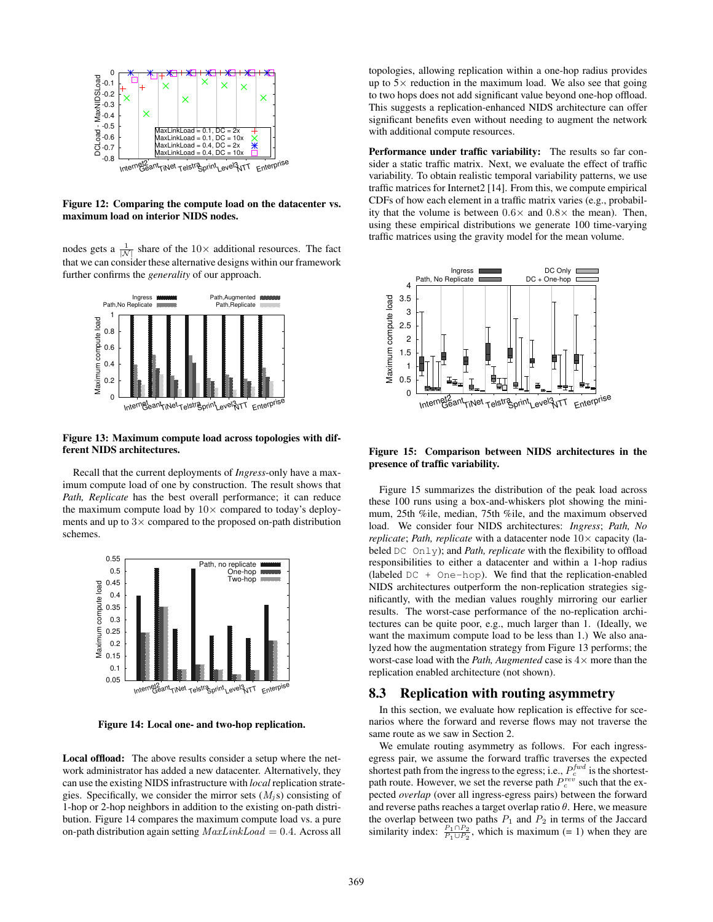

**Figure 12: Comparing the compute load on the datacenter vs. maximum load on interior NIDS nodes.**

nodes gets a  $\frac{1}{|N|}$  share of the 10× additional resources. The fact that we can consider these alternative designs within our framework further confirms the *generality* of our approach.



#### **Figure 13: Maximum compute load across topologies with different NIDS architectures.**

Recall that the current deployments of *Ingress*-only have a maximum compute load of one by construction. The result shows that *Path, Replicate* has the best overall performance; it can reduce the maximum compute load by  $10\times$  compared to today's deployments and up to  $3\times$  compared to the proposed on-path distribution schemes.



**Figure 14: Local one- and two-hop replication.**

**Local offload:** The above results consider a setup where the network administrator has added a new datacenter. Alternatively, they can use the existing NIDS infrastructure with *local* replication strategies. Specifically, we consider the mirror sets  $(M_i s)$  consisting of 1-hop or 2-hop neighbors in addition to the existing on-path distribution. Figure 14 compares the maximum compute load vs. a pure on-path distribution again setting  $MaxLinkLoad = 0.4$ . Across all

topologies, allowing replication within a one-hop radius provides up to  $5\times$  reduction in the maximum load. We also see that going to two hops does not add significant value beyond one-hop offload. This suggests a replication-enhanced NIDS architecture can offer significant benefits even without needing to augment the network with additional compute resources.

**Performance under traffic variability:** The results so far consider a static traffic matrix. Next, we evaluate the effect of traffic variability. To obtain realistic temporal variability patterns, we use traffic matrices for Internet2 [14]. From this, we compute empirical CDFs of how each element in a traffic matrix varies (e.g., probability that the volume is between  $0.6 \times$  and  $0.8 \times$  the mean). Then, using these empirical distributions we generate 100 time-varying traffic matrices using the gravity model for the mean volume.



**Figure 15: Comparison between NIDS architectures in the presence of traffic variability.**

Figure 15 summarizes the distribution of the peak load across these 100 runs using a box-and-whiskers plot showing the minimum, 25th %ile, median, 75th %ile, and the maximum observed load. We consider four NIDS architectures: *Ingress*; *Path, No replicate*; *Path, replicate* with a datacenter node  $10\times$  capacity (labeled DC Only); and *Path, replicate* with the flexibility to offload responsibilities to either a datacenter and within a 1-hop radius (labeled  $DC + One-hop$ ). We find that the replication-enabled NIDS architectures outperform the non-replication strategies significantly, with the median values roughly mirroring our earlier results. The worst-case performance of the no-replication architectures can be quite poor, e.g., much larger than 1. (Ideally, we want the maximum compute load to be less than 1.) We also analyzed how the augmentation strategy from Figure 13 performs; the worst-case load with the *Path, Augmented* case is 4× more than the replication enabled architecture (not shown).

#### **8.3 Replication with routing asymmetry**

In this section, we evaluate how replication is effective for scenarios where the forward and reverse flows may not traverse the same route as we saw in Section 2.

We emulate routing asymmetry as follows. For each ingressegress pair, we assume the forward traffic traverses the expected shortest path from the ingress to the egress; i.e.,  $P_c^{fwd}$  is the shortestpath route. However, we set the reverse path  $P_c^{rev}$  such that the expected *overlap* (over all ingress-egress pairs) between the forward and reverse paths reaches a target overlap ratio  $\theta$ . Here, we measure the overlap between two paths  $P_1$  and  $P_2$  in terms of the Jaccard similarity index:  $\frac{P_1 \cap P_2}{P_1 \cup P_2}$ , which is maximum (= 1) when they are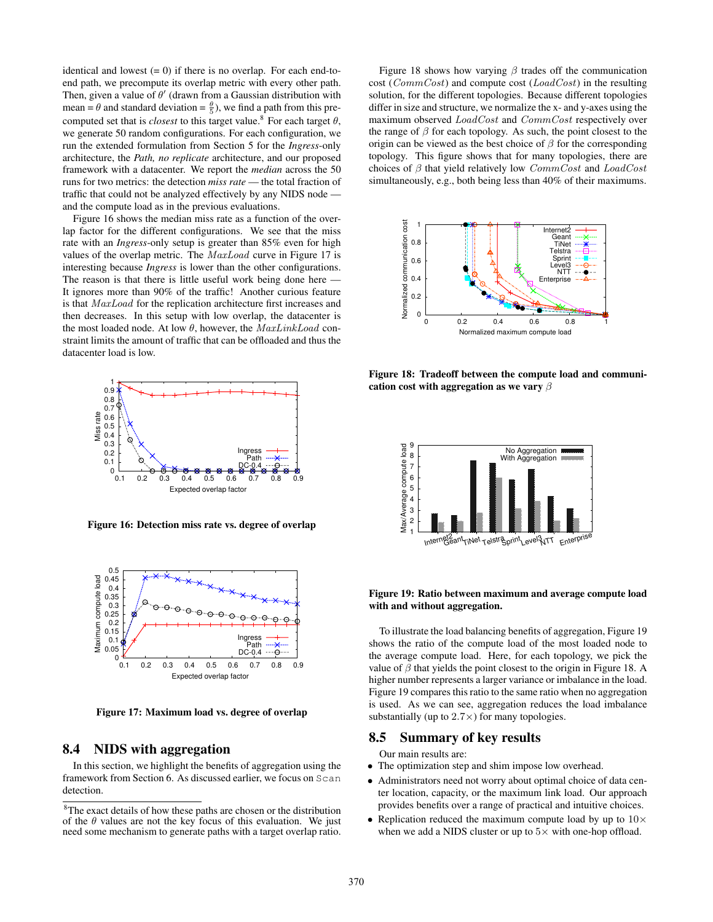identical and lowest  $(= 0)$  if there is no overlap. For each end-toend path, we precompute its overlap metric with every other path. Then, given a value of  $\theta'$  (drawn from a Gaussian distribution with mean =  $\theta$  and standard deviation =  $\frac{\theta}{5}$ ), we find a path from this precomputed set that is *closest* to this target value.<sup>8</sup> For each target  $\theta$ , we generate 50 random configurations. For each configuration, we run the extended formulation from Section 5 for the *Ingress*-only architecture, the *Path, no replicate* architecture, and our proposed framework with a datacenter. We report the *median* across the 50 runs for two metrics: the detection *miss rate* — the total fraction of traffic that could not be analyzed effectively by any NIDS node and the compute load as in the previous evaluations.

Figure 16 shows the median miss rate as a function of the overlap factor for the different configurations. We see that the miss rate with an *Ingress*-only setup is greater than 85% even for high values of the overlap metric. The MaxLoad curve in Figure 17 is interesting because *Ingress* is lower than the other configurations. The reason is that there is little useful work being done here — It ignores more than 90% of the traffic! Another curious feature is that MaxLoad for the replication architecture first increases and then decreases. In this setup with low overlap, the datacenter is the most loaded node. At low  $\theta$ , however, the  $MaxLinkLoad$  constraint limits the amount of traffic that can be offloaded and thus the datacenter load is low.



**Figure 16: Detection miss rate vs. degree of overlap**



**Figure 17: Maximum load vs. degree of overlap**

### **8.4 NIDS with aggregation**

In this section, we highlight the benefits of aggregation using the framework from Section 6. As discussed earlier, we focus on Scan detection.

Figure 18 shows how varying  $\beta$  trades off the communication cost (CommCost) and compute cost (LoadCost) in the resulting solution, for the different topologies. Because different topologies differ in size and structure, we normalize the x- and y-axes using the maximum observed LoadCost and CommCost respectively over the range of  $\beta$  for each topology. As such, the point closest to the origin can be viewed as the best choice of  $\beta$  for the corresponding topology. This figure shows that for many topologies, there are choices of  $\beta$  that yield relatively low  $CommCost$  and  $LoadCost$ simultaneously, e.g., both being less than 40% of their maximums.



**Figure 18: Tradeoff between the compute load and communication cost with aggregation as we vary** β



#### **Figure 19: Ratio between maximum and average compute load with and without aggregation.**

To illustrate the load balancing benefits of aggregation, Figure 19 shows the ratio of the compute load of the most loaded node to the average compute load. Here, for each topology, we pick the value of  $\beta$  that yields the point closest to the origin in Figure 18. A higher number represents a larger variance or imbalance in the load. Figure 19 compares this ratio to the same ratio when no aggregation is used. As we can see, aggregation reduces the load imbalance substantially (up to  $2.7 \times$ ) for many topologies.

#### **8.5 Summary of key results**

Our main results are:

- The optimization step and shim impose low overhead.
- Administrators need not worry about optimal choice of data center location, capacity, or the maximum link load. Our approach provides benefits over a range of practical and intuitive choices.
- Replication reduced the maximum compute load by up to  $10\times$ when we add a NIDS cluster or up to  $5\times$  with one-hop offload.

<sup>8</sup>The exact details of how these paths are chosen or the distribution of the  $\theta$  values are not the key focus of this evaluation. We just need some mechanism to generate paths with a target overlap ratio.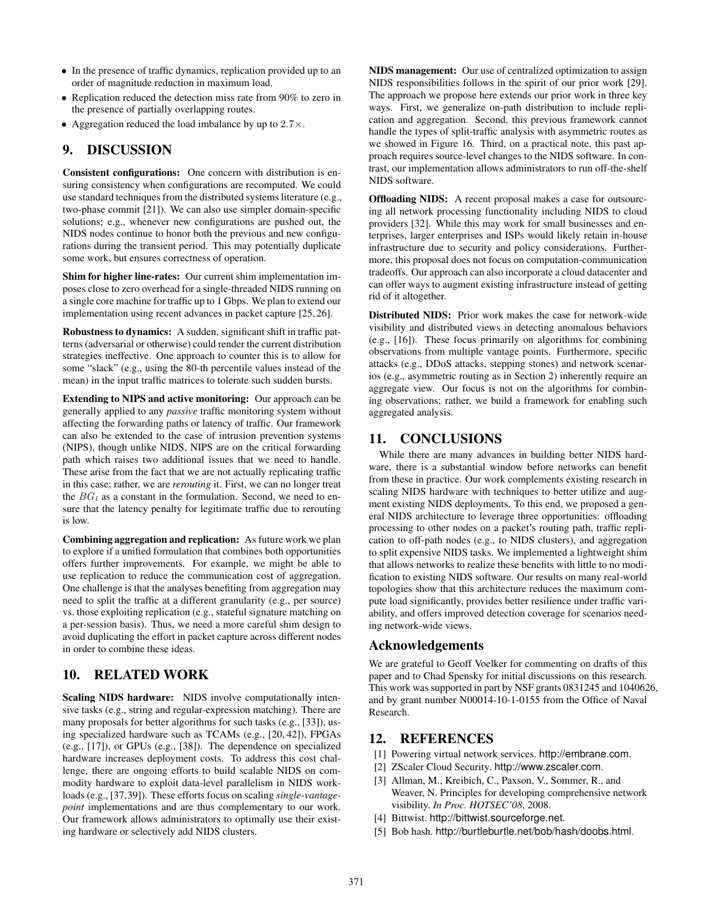- In the presence of traffic dynamics, replication provided up to an order of magnitude reduction in maximum load.
- Replication reduced the detection miss rate from 90% to zero in the presence of partially overlapping routes.
- Aggregation reduced the load imbalance by up to  $2.7 \times$ .

# **9. DISCUSSION**

**Consistent configurations:** One concern with distribution is ensuring consistency when configurations are recomputed. We could use standard techniques from the distributed systems literature (e.g., two-phase commit [21]). We can also use simpler domain-specific solutions; e.g., whenever new configurations are pushed out, the NIDS nodes continue to honor both the previous and new configurations during the transient period. This may potentially duplicate some work, but ensures correctness of operation.

**Shim for higher line-rates:** Our current shim implementation imposes close to zero overhead for a single-threaded NIDS running on a single core machine for traffic up to 1 Gbps. We plan to extend our implementation using recent advances in packet capture [25, 26].

**Robustness to dynamics:** A sudden, significant shift in traffic patterns (adversarial or otherwise) could render the current distribution strategies ineffective. One approach to counter this is to allow for some "slack" (e.g., using the 80-th percentile values instead of the mean) in the input traffic matrices to tolerate such sudden bursts.

**Extending to NIPS and active monitoring:** Our approach can be generally applied to any *passive* traffic monitoring system without affecting the forwarding paths or latency of traffic. Our framework can also be extended to the case of intrusion prevention systems (NIPS), though unlike NIDS, NIPS are on the critical forwarding path which raises two additional issues that we need to handle. These arise from the fact that we are not actually replicating traffic in this case; rather, we are *rerouting* it. First, we can no longer treat the  $BG_l$  as a constant in the formulation. Second, we need to ensure that the latency penalty for legitimate traffic due to rerouting is low.

**Combining aggregation and replication:** As future work we plan to explore if a unified formulation that combines both opportunities offers further improvements. For example, we might be able to use replication to reduce the communication cost of aggregation. One challenge is that the analyses benefiting from aggregation may need to split the traffic at a different granularity (e.g., per source) vs. those exploiting replication (e.g., stateful signature matching on a per-session basis). Thus, we need a more careful shim design to avoid duplicating the effort in packet capture across different nodes in order to combine these ideas.

# **10. RELATED WORK**

**Scaling NIDS hardware:** NIDS involve computationally intensive tasks (e.g., string and regular-expression matching). There are many proposals for better algorithms for such tasks (e.g., [33]), using specialized hardware such as TCAMs (e.g., [20, 42]), FPGAs (e.g., [17]), or GPUs (e.g., [38]). The dependence on specialized hardware increases deployment costs. To address this cost challenge, there are ongoing efforts to build scalable NIDS on commodity hardware to exploit data-level parallelism in NIDS workloads (e.g., [37,39]). These efforts focus on scaling *single-vantagepoint* implementations and are thus complementary to our work. Our framework allows administrators to optimally use their existing hardware or selectively add NIDS clusters.

**NIDS management:** Our use of centralized optimization to assign NIDS responsibilities follows in the spirit of our prior work [29]. The approach we propose here extends our prior work in three key ways. First, we generalize on-path distribution to include replication and aggregation. Second, this previous framework cannot handle the types of split-traffic analysis with asymmetric routes as we showed in Figure 16. Third, on a practical note, this past approach requires source-level changes to the NIDS software. In contrast, our implementation allows administrators to run off-the-shelf NIDS software.

**Offloading NIDS:** A recent proposal makes a case for outsourcing all network processing functionality including NIDS to cloud providers [32]. While this may work for small businesses and enterprises, larger enterprises and ISPs would likely retain in-house infrastructure due to security and policy considerations. Furthermore, this proposal does not focus on computation-communication tradeoffs. Our approach can also incorporate a cloud datacenter and can offer ways to augment existing infrastructure instead of getting rid of it altogether.

**Distributed NIDS:** Prior work makes the case for network-wide visibility and distributed views in detecting anomalous behaviors (e.g., [16]). These focus primarily on algorithms for combining observations from multiple vantage points. Furthermore, specific attacks (e.g., DDoS attacks, stepping stones) and network scenarios (e.g., asymmetric routing as in Section 2) inherently require an aggregate view. Our focus is not on the algorithms for combining observations; rather, we build a framework for enabling such aggregated analysis.

# **11. CONCLUSIONS**

While there are many advances in building better NIDS hardware, there is a substantial window before networks can benefit from these in practice. Our work complements existing research in scaling NIDS hardware with techniques to better utilize and augment existing NIDS deployments. To this end, we proposed a general NIDS architecture to leverage three opportunities: offloading processing to other nodes on a packet's routing path, traffic replication to off-path nodes (e.g., to NIDS clusters), and aggregation to split expensive NIDS tasks. We implemented a lightweight shim that allows networks to realize these benefits with little to no modification to existing NIDS software. Our results on many real-world topologies show that this architecture reduces the maximum compute load significantly, provides better resilience under traffic variability, and offers improved detection coverage for scenarios needing network-wide views.

# **Acknowledgements**

We are grateful to Geoff Voelker for commenting on drafts of this paper and to Chad Spensky for initial discussions on this research. This work was supported in part by NSF grants 0831245 and 1040626, and by grant number N00014-10-1-0155 from the Office of Naval Research.

## **12. REFERENCES**

- [1] Powering virtual network services. http://embrane.com.
- [2] ZScaler Cloud Security. http://www.zscaler.com.
- [3] Allman, M., Kreibich, C., Paxson, V., Sommer, R., and Weaver, N. Principles for developing comprehensive network visibility. *In Proc. HOTSEC'08*, 2008.
- [4] Bittwist. http://bittwist.sourceforge.net.
- [5] Bob hash. http://burtleburtle.net/bob/hash/doobs.html.